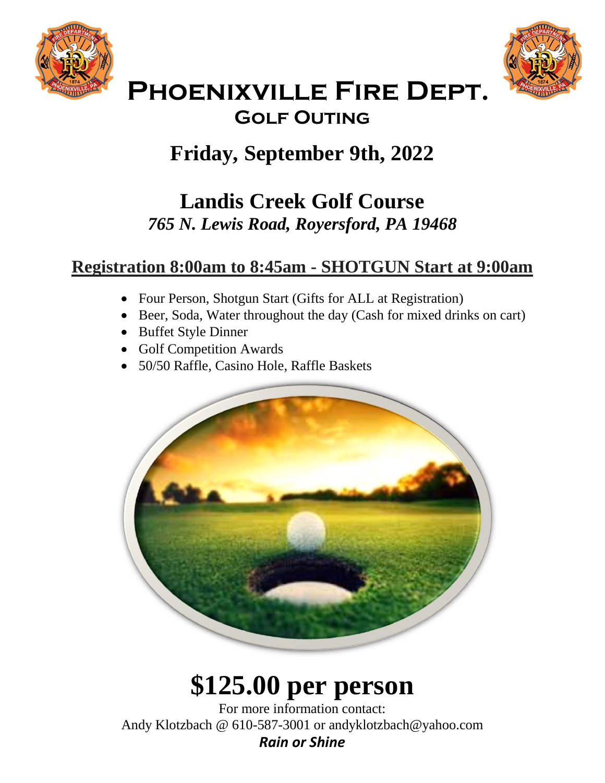



## **Phoenixville Fire Dept. Golf Outing**

# **Friday, September 9th, 2022**

## **Landis Creek Golf Course** *765 N. Lewis Road, Royersford, PA 19468*

### **Registration 8:00am to 8:45am - SHOTGUN Start at 9:00am**

- Four Person, Shotgun Start (Gifts for ALL at Registration)
- Beer, Soda, Water throughout the day (Cash for mixed drinks on cart)
- Buffet Style Dinner
- Golf Competition Awards
- 50/50 Raffle, Casino Hole, Raffle Baskets



# **\$125.00 per person**

For more information contact: Andy Klotzbach @ 610-587-3001 or andyklotzbach@yahoo.com *Rain or Shine*